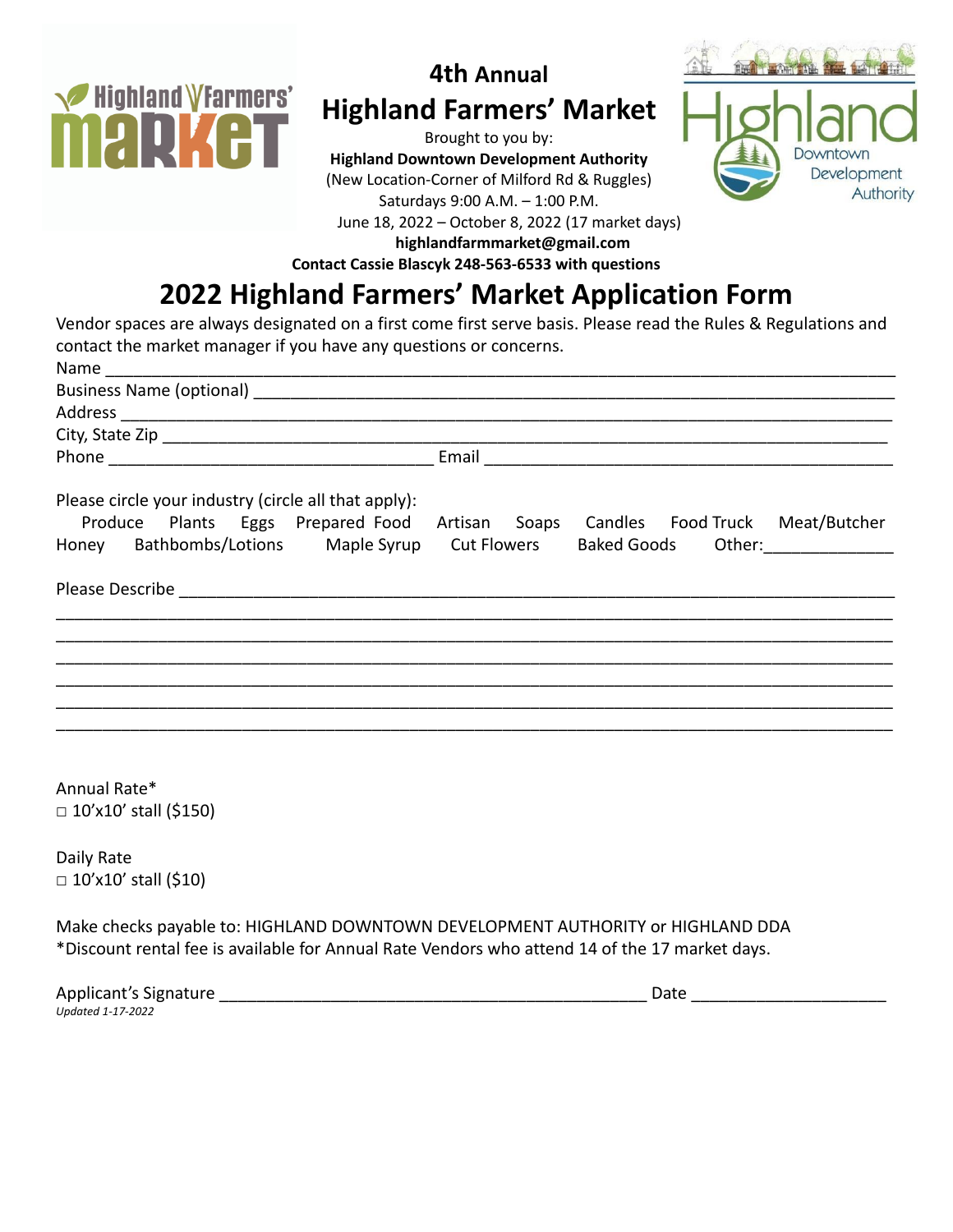

## **4th Annual Highland Farmers' Market**

Brought to you by: **Highland Downtown Development Authority** (New Location-Corner of Milford Rd & Ruggles) Saturdays 9:00 A.M. – 1:00 P.M. June 18, 2022 – October 8, 2022 (17 market days)



**highlandfarmmarket@gmail.com**

**Contact Cassie Blascyk 248-563-6533 with questions**

## **2022 Highland Farmers' Market Application Form**

Vendor spaces are always designated on a first come first serve basis. Please read the Rules & Regulations and contact the market manager if you have any questions or concerns.

| Name __________                                                         |       |                                               |  |
|-------------------------------------------------------------------------|-------|-----------------------------------------------|--|
|                                                                         |       |                                               |  |
|                                                                         |       |                                               |  |
|                                                                         |       |                                               |  |
|                                                                         | Email |                                               |  |
| Please circle your industry (circle all that apply):                    |       |                                               |  |
| Produce Plants Eggs Prepared Food                                       |       | Artisan Soaps Candles Food Truck Meat/Butcher |  |
| Honey Bathbombs/Lotions Maple Syrup Cut Flowers Baked Goods Other: 1986 |       |                                               |  |
|                                                                         |       |                                               |  |
|                                                                         |       |                                               |  |
|                                                                         |       |                                               |  |
|                                                                         |       |                                               |  |
|                                                                         |       |                                               |  |
|                                                                         |       |                                               |  |

Annual Rate\*  $\Box$  10'x10' stall (\$150)

Daily Rate  $\Box$  10'x10' stall (\$10)

Make checks payable to: HIGHLAND DOWNTOWN DEVELOPMENT AUTHORITY or HIGHLAND DDA \*Discount rental fee is available for Annual Rate Vendors who attend 14 of the 17 market days.

| Applicant's Signature | Date |
|-----------------------|------|
| Updated 1-17-2022     |      |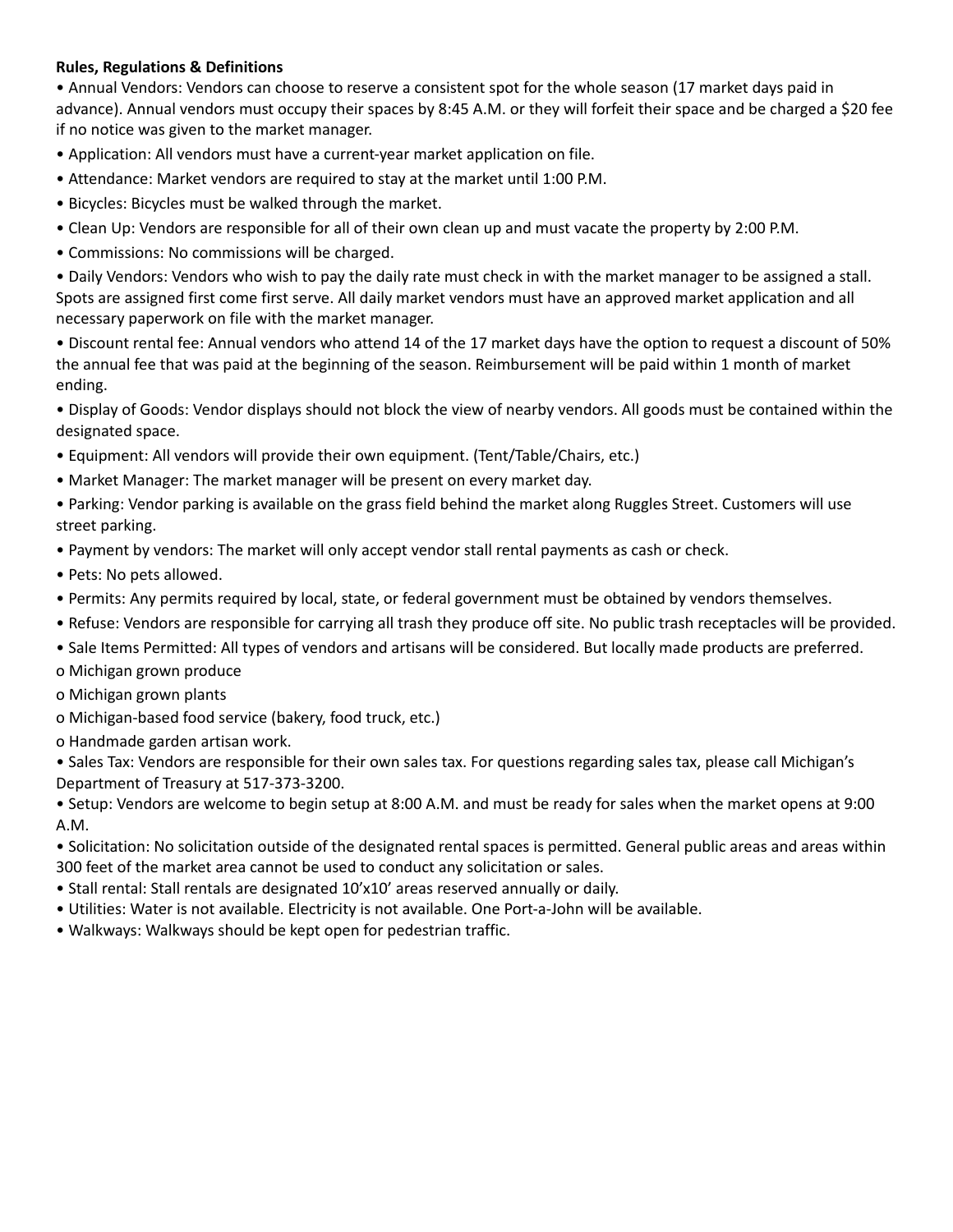## **Rules, Regulations & Definitions**

• Annual Vendors: Vendors can choose to reserve a consistent spot for the whole season (17 market days paid in advance). Annual vendors must occupy their spaces by 8:45 A.M. or they will forfeit their space and be charged a \$20 fee if no notice was given to the market manager.

- Application: All vendors must have a current-year market application on file.
- Attendance: Market vendors are required to stay at the market until 1:00 P.M.
- Bicycles: Bicycles must be walked through the market.
- Clean Up: Vendors are responsible for all of their own clean up and must vacate the property by 2:00 P.M.
- Commissions: No commissions will be charged.

• Daily Vendors: Vendors who wish to pay the daily rate must check in with the market manager to be assigned a stall. Spots are assigned first come first serve. All daily market vendors must have an approved market application and all necessary paperwork on file with the market manager.

• Discount rental fee: Annual vendors who attend 14 of the 17 market days have the option to request a discount of 50% the annual fee that was paid at the beginning of the season. Reimbursement will be paid within 1 month of market ending.

• Display of Goods: Vendor displays should not block the view of nearby vendors. All goods must be contained within the designated space.

- Equipment: All vendors will provide their own equipment. (Tent/Table/Chairs, etc.)
- Market Manager: The market manager will be present on every market day.

• Parking: Vendor parking is available on the grass field behind the market along Ruggles Street. Customers will use street parking.

- Payment by vendors: The market will only accept vendor stall rental payments as cash or check.
- Pets: No pets allowed.
- Permits: Any permits required by local, state, or federal government must be obtained by vendors themselves.
- Refuse: Vendors are responsible for carrying all trash they produce off site. No public trash receptacles will be provided.
- Sale Items Permitted: All types of vendors and artisans will be considered. But locally made products are preferred.
- o Michigan grown produce
- o Michigan grown plants
- o Michigan-based food service (bakery, food truck, etc.)
- o Handmade garden artisan work.

• Sales Tax: Vendors are responsible for their own sales tax. For questions regarding sales tax, please call Michigan's Department of Treasury at 517-373-3200.

• Setup: Vendors are welcome to begin setup at 8:00 A.M. and must be ready for sales when the market opens at 9:00 A.M.

• Solicitation: No solicitation outside of the designated rental spaces is permitted. General public areas and areas within 300 feet of the market area cannot be used to conduct any solicitation or sales.

- Stall rental: Stall rentals are designated 10'x10' areas reserved annually or daily.
- Utilities: Water is not available. Electricity is not available. One Port-a-John will be available.
- Walkways: Walkways should be kept open for pedestrian traffic.